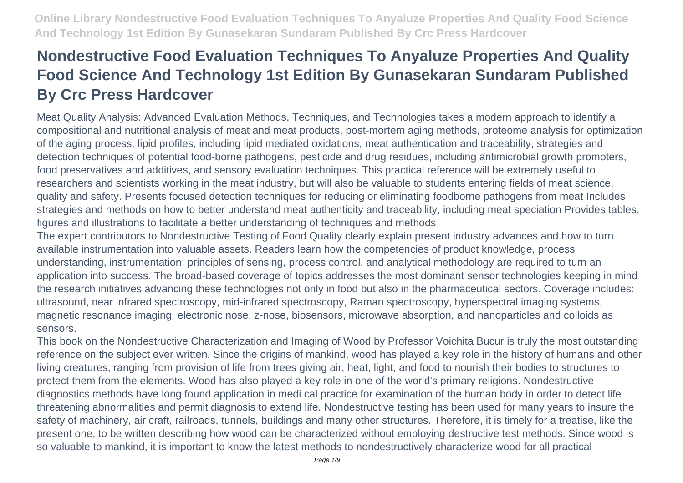# **Nondestructive Food Evaluation Techniques To Anyaluze Properties And Quality Food Science And Technology 1st Edition By Gunasekaran Sundaram Published By Crc Press Hardcover**

Meat Quality Analysis: Advanced Evaluation Methods, Techniques, and Technologies takes a modern approach to identify a compositional and nutritional analysis of meat and meat products, post-mortem aging methods, proteome analysis for optimization of the aging process, lipid profiles, including lipid mediated oxidations, meat authentication and traceability, strategies and detection techniques of potential food-borne pathogens, pesticide and drug residues, including antimicrobial growth promoters, food preservatives and additives, and sensory evaluation techniques. This practical reference will be extremely useful to researchers and scientists working in the meat industry, but will also be valuable to students entering fields of meat science, quality and safety. Presents focused detection techniques for reducing or eliminating foodborne pathogens from meat Includes strategies and methods on how to better understand meat authenticity and traceability, including meat speciation Provides tables, figures and illustrations to facilitate a better understanding of techniques and methods

The expert contributors to Nondestructive Testing of Food Quality clearly explain present industry advances and how to turn available instrumentation into valuable assets. Readers learn how the competencies of product knowledge, process understanding, instrumentation, principles of sensing, process control, and analytical methodology are required to turn an application into success. The broad-based coverage of topics addresses the most dominant sensor technologies keeping in mind the research initiatives advancing these technologies not only in food but also in the pharmaceutical sectors. Coverage includes: ultrasound, near infrared spectroscopy, mid-infrared spectroscopy, Raman spectroscopy, hyperspectral imaging systems, magnetic resonance imaging, electronic nose, z-nose, biosensors, microwave absorption, and nanoparticles and colloids as sensors.

This book on the Nondestructive Characterization and Imaging of Wood by Professor Voichita Bucur is truly the most outstanding reference on the subject ever written. Since the origins of mankind, wood has played a key role in the history of humans and other living creatures, ranging from provision of life from trees giving air, heat, light, and food to nourish their bodies to structures to protect them from the elements. Wood has also played a key role in one of the world's primary religions. Nondestructive diagnostics methods have long found application in medi cal practice for examination of the human body in order to detect life threatening abnormalities and permit diagnosis to extend life. Nondestructive testing has been used for many years to insure the safety of machinery, air craft, railroads, tunnels, buildings and many other structures. Therefore, it is timely for a treatise, like the present one, to be written describing how wood can be characterized without employing destructive test methods. Since wood is so valuable to mankind, it is important to know the latest methods to nondestructively characterize wood for all practical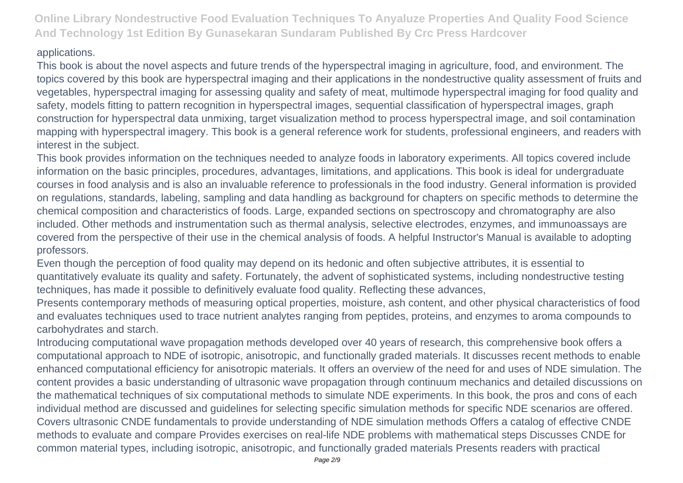#### applications.

This book is about the novel aspects and future trends of the hyperspectral imaging in agriculture, food, and environment. The topics covered by this book are hyperspectral imaging and their applications in the nondestructive quality assessment of fruits and vegetables, hyperspectral imaging for assessing quality and safety of meat, multimode hyperspectral imaging for food quality and safety, models fitting to pattern recognition in hyperspectral images, sequential classification of hyperspectral images, graph construction for hyperspectral data unmixing, target visualization method to process hyperspectral image, and soil contamination mapping with hyperspectral imagery. This book is a general reference work for students, professional engineers, and readers with interest in the subject.

This book provides information on the techniques needed to analyze foods in laboratory experiments. All topics covered include information on the basic principles, procedures, advantages, limitations, and applications. This book is ideal for undergraduate courses in food analysis and is also an invaluable reference to professionals in the food industry. General information is provided on regulations, standards, labeling, sampling and data handling as background for chapters on specific methods to determine the chemical composition and characteristics of foods. Large, expanded sections on spectroscopy and chromatography are also included. Other methods and instrumentation such as thermal analysis, selective electrodes, enzymes, and immunoassays are covered from the perspective of their use in the chemical analysis of foods. A helpful Instructor's Manual is available to adopting professors.

Even though the perception of food quality may depend on its hedonic and often subjective attributes, it is essential to quantitatively evaluate its quality and safety. Fortunately, the advent of sophisticated systems, including nondestructive testing techniques, has made it possible to definitively evaluate food quality. Reflecting these advances,

Presents contemporary methods of measuring optical properties, moisture, ash content, and other physical characteristics of food and evaluates techniques used to trace nutrient analytes ranging from peptides, proteins, and enzymes to aroma compounds to carbohydrates and starch.

Introducing computational wave propagation methods developed over 40 years of research, this comprehensive book offers a computational approach to NDE of isotropic, anisotropic, and functionally graded materials. It discusses recent methods to enable enhanced computational efficiency for anisotropic materials. It offers an overview of the need for and uses of NDE simulation. The content provides a basic understanding of ultrasonic wave propagation through continuum mechanics and detailed discussions on the mathematical techniques of six computational methods to simulate NDE experiments. In this book, the pros and cons of each individual method are discussed and guidelines for selecting specific simulation methods for specific NDE scenarios are offered. Covers ultrasonic CNDE fundamentals to provide understanding of NDE simulation methods Offers a catalog of effective CNDE methods to evaluate and compare Provides exercises on real-life NDE problems with mathematical steps Discusses CNDE for common material types, including isotropic, anisotropic, and functionally graded materials Presents readers with practical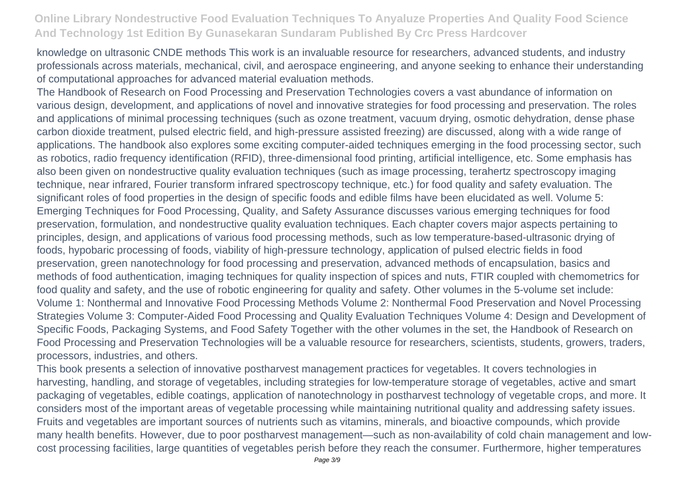knowledge on ultrasonic CNDE methods This work is an invaluable resource for researchers, advanced students, and industry professionals across materials, mechanical, civil, and aerospace engineering, and anyone seeking to enhance their understanding of computational approaches for advanced material evaluation methods.

The Handbook of Research on Food Processing and Preservation Technologies covers a vast abundance of information on various design, development, and applications of novel and innovative strategies for food processing and preservation. The roles and applications of minimal processing techniques (such as ozone treatment, vacuum drying, osmotic dehydration, dense phase carbon dioxide treatment, pulsed electric field, and high-pressure assisted freezing) are discussed, along with a wide range of applications. The handbook also explores some exciting computer-aided techniques emerging in the food processing sector, such as robotics, radio frequency identification (RFID), three-dimensional food printing, artificial intelligence, etc. Some emphasis has also been given on nondestructive quality evaluation techniques (such as image processing, terahertz spectroscopy imaging technique, near infrared, Fourier transform infrared spectroscopy technique, etc.) for food quality and safety evaluation. The significant roles of food properties in the design of specific foods and edible films have been elucidated as well. Volume 5: Emerging Techniques for Food Processing, Quality, and Safety Assurance discusses various emerging techniques for food preservation, formulation, and nondestructive quality evaluation techniques. Each chapter covers major aspects pertaining to principles, design, and applications of various food processing methods, such as low temperature-based-ultrasonic drying of foods, hypobaric processing of foods, viability of high-pressure technology, application of pulsed electric fields in food preservation, green nanotechnology for food processing and preservation, advanced methods of encapsulation, basics and methods of food authentication, imaging techniques for quality inspection of spices and nuts, FTIR coupled with chemometrics for food quality and safety, and the use of robotic engineering for quality and safety. Other volumes in the 5-volume set include: Volume 1: Nonthermal and Innovative Food Processing Methods Volume 2: Nonthermal Food Preservation and Novel Processing Strategies Volume 3: Computer-Aided Food Processing and Quality Evaluation Techniques Volume 4: Design and Development of Specific Foods, Packaging Systems, and Food Safety Together with the other volumes in the set, the Handbook of Research on Food Processing and Preservation Technologies will be a valuable resource for researchers, scientists, students, growers, traders, processors, industries, and others.

This book presents a selection of innovative postharvest management practices for vegetables. It covers technologies in harvesting, handling, and storage of vegetables, including strategies for low-temperature storage of vegetables, active and smart packaging of vegetables, edible coatings, application of nanotechnology in postharvest technology of vegetable crops, and more. It considers most of the important areas of vegetable processing while maintaining nutritional quality and addressing safety issues. Fruits and vegetables are important sources of nutrients such as vitamins, minerals, and bioactive compounds, which provide many health benefits. However, due to poor postharvest management—such as non-availability of cold chain management and lowcost processing facilities, large quantities of vegetables perish before they reach the consumer. Furthermore, higher temperatures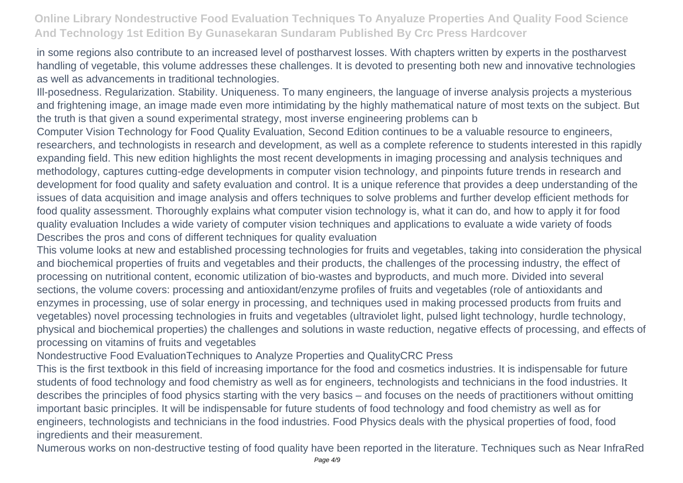in some regions also contribute to an increased level of postharvest losses. With chapters written by experts in the postharvest handling of vegetable, this volume addresses these challenges. It is devoted to presenting both new and innovative technologies as well as advancements in traditional technologies.

Ill-posedness. Regularization. Stability. Uniqueness. To many engineers, the language of inverse analysis projects a mysterious and frightening image, an image made even more intimidating by the highly mathematical nature of most texts on the subject. But the truth is that given a sound experimental strategy, most inverse engineering problems can b

Computer Vision Technology for Food Quality Evaluation, Second Edition continues to be a valuable resource to engineers, researchers, and technologists in research and development, as well as a complete reference to students interested in this rapidly expanding field. This new edition highlights the most recent developments in imaging processing and analysis techniques and methodology, captures cutting-edge developments in computer vision technology, and pinpoints future trends in research and development for food quality and safety evaluation and control. It is a unique reference that provides a deep understanding of the issues of data acquisition and image analysis and offers techniques to solve problems and further develop efficient methods for food quality assessment. Thoroughly explains what computer vision technology is, what it can do, and how to apply it for food quality evaluation Includes a wide variety of computer vision techniques and applications to evaluate a wide variety of foods Describes the pros and cons of different techniques for quality evaluation

This volume looks at new and established processing technologies for fruits and vegetables, taking into consideration the physical and biochemical properties of fruits and vegetables and their products, the challenges of the processing industry, the effect of processing on nutritional content, economic utilization of bio-wastes and byproducts, and much more. Divided into several sections, the volume covers: processing and antioxidant/enzyme profiles of fruits and vegetables (role of antioxidants and enzymes in processing, use of solar energy in processing, and techniques used in making processed products from fruits and vegetables) novel processing technologies in fruits and vegetables (ultraviolet light, pulsed light technology, hurdle technology, physical and biochemical properties) the challenges and solutions in waste reduction, negative effects of processing, and effects of processing on vitamins of fruits and vegetables

Nondestructive Food EvaluationTechniques to Analyze Properties and QualityCRC Press

This is the first textbook in this field of increasing importance for the food and cosmetics industries. It is indispensable for future students of food technology and food chemistry as well as for engineers, technologists and technicians in the food industries. It describes the principles of food physics starting with the very basics – and focuses on the needs of practitioners without omitting important basic principles. It will be indispensable for future students of food technology and food chemistry as well as for engineers, technologists and technicians in the food industries. Food Physics deals with the physical properties of food, food ingredients and their measurement.

Numerous works on non-destructive testing of food quality have been reported in the literature. Techniques such as Near InfraRed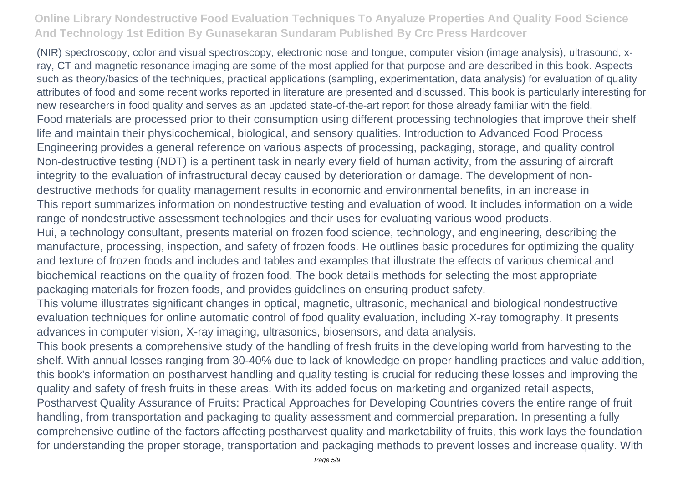(NIR) spectroscopy, color and visual spectroscopy, electronic nose and tongue, computer vision (image analysis), ultrasound, xray, CT and magnetic resonance imaging are some of the most applied for that purpose and are described in this book. Aspects such as theory/basics of the techniques, practical applications (sampling, experimentation, data analysis) for evaluation of quality attributes of food and some recent works reported in literature are presented and discussed. This book is particularly interesting for new researchers in food quality and serves as an updated state-of-the-art report for those already familiar with the field. Food materials are processed prior to their consumption using different processing technologies that improve their shelf life and maintain their physicochemical, biological, and sensory qualities. Introduction to Advanced Food Process Engineering provides a general reference on various aspects of processing, packaging, storage, and quality control Non-destructive testing (NDT) is a pertinent task in nearly every field of human activity, from the assuring of aircraft integrity to the evaluation of infrastructural decay caused by deterioration or damage. The development of nondestructive methods for quality management results in economic and environmental benefits, in an increase in This report summarizes information on nondestructive testing and evaluation of wood. It includes information on a wide range of nondestructive assessment technologies and their uses for evaluating various wood products. Hui, a technology consultant, presents material on frozen food science, technology, and engineering, describing the manufacture, processing, inspection, and safety of frozen foods. He outlines basic procedures for optimizing the quality and texture of frozen foods and includes and tables and examples that illustrate the effects of various chemical and biochemical reactions on the quality of frozen food. The book details methods for selecting the most appropriate packaging materials for frozen foods, and provides guidelines on ensuring product safety.

This volume illustrates significant changes in optical, magnetic, ultrasonic, mechanical and biological nondestructive evaluation techniques for online automatic control of food quality evaluation, including X-ray tomography. It presents advances in computer vision, X-ray imaging, ultrasonics, biosensors, and data analysis.

This book presents a comprehensive study of the handling of fresh fruits in the developing world from harvesting to the shelf. With annual losses ranging from 30-40% due to lack of knowledge on proper handling practices and value addition, this book's information on postharvest handling and quality testing is crucial for reducing these losses and improving the quality and safety of fresh fruits in these areas. With its added focus on marketing and organized retail aspects, Postharvest Quality Assurance of Fruits: Practical Approaches for Developing Countries covers the entire range of fruit handling, from transportation and packaging to quality assessment and commercial preparation. In presenting a fully comprehensive outline of the factors affecting postharvest quality and marketability of fruits, this work lays the foundation for understanding the proper storage, transportation and packaging methods to prevent losses and increase quality. With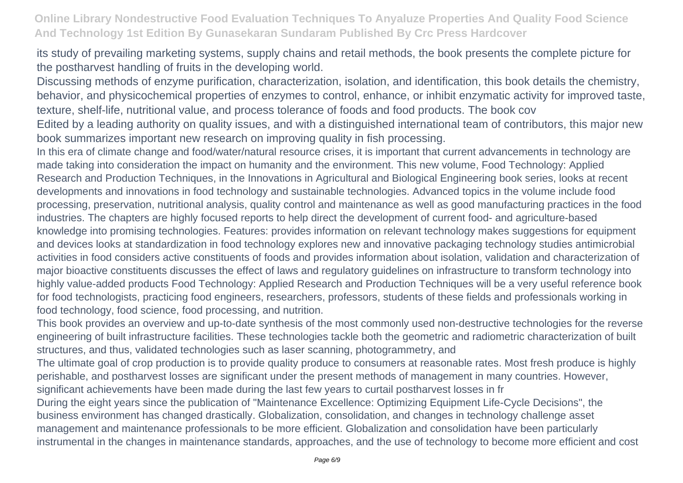its study of prevailing marketing systems, supply chains and retail methods, the book presents the complete picture for the postharvest handling of fruits in the developing world.

Discussing methods of enzyme purification, characterization, isolation, and identification, this book details the chemistry, behavior, and physicochemical properties of enzymes to control, enhance, or inhibit enzymatic activity for improved taste, texture, shelf-life, nutritional value, and process tolerance of foods and food products. The book cov

Edited by a leading authority on quality issues, and with a distinguished international team of contributors, this major new book summarizes important new research on improving quality in fish processing.

In this era of climate change and food/water/natural resource crises, it is important that current advancements in technology are made taking into consideration the impact on humanity and the environment. This new volume, Food Technology: Applied Research and Production Techniques, in the Innovations in Agricultural and Biological Engineering book series, looks at recent developments and innovations in food technology and sustainable technologies. Advanced topics in the volume include food processing, preservation, nutritional analysis, quality control and maintenance as well as good manufacturing practices in the food industries. The chapters are highly focused reports to help direct the development of current food- and agriculture-based knowledge into promising technologies. Features: provides information on relevant technology makes suggestions for equipment and devices looks at standardization in food technology explores new and innovative packaging technology studies antimicrobial activities in food considers active constituents of foods and provides information about isolation, validation and characterization of major bioactive constituents discusses the effect of laws and regulatory guidelines on infrastructure to transform technology into highly value-added products Food Technology: Applied Research and Production Techniques will be a very useful reference book for food technologists, practicing food engineers, researchers, professors, students of these fields and professionals working in food technology, food science, food processing, and nutrition.

This book provides an overview and up-to-date synthesis of the most commonly used non-destructive technologies for the reverse engineering of built infrastructure facilities. These technologies tackle both the geometric and radiometric characterization of built structures, and thus, validated technologies such as laser scanning, photogrammetry, and

The ultimate goal of crop production is to provide quality produce to consumers at reasonable rates. Most fresh produce is highly perishable, and postharvest losses are significant under the present methods of management in many countries. However, significant achievements have been made during the last few years to curtail postharvest losses in fr

During the eight years since the publication of "Maintenance Excellence: Optimizing Equipment Life-Cycle Decisions", the business environment has changed drastically. Globalization, consolidation, and changes in technology challenge asset management and maintenance professionals to be more efficient. Globalization and consolidation have been particularly instrumental in the changes in maintenance standards, approaches, and the use of technology to become more efficient and cost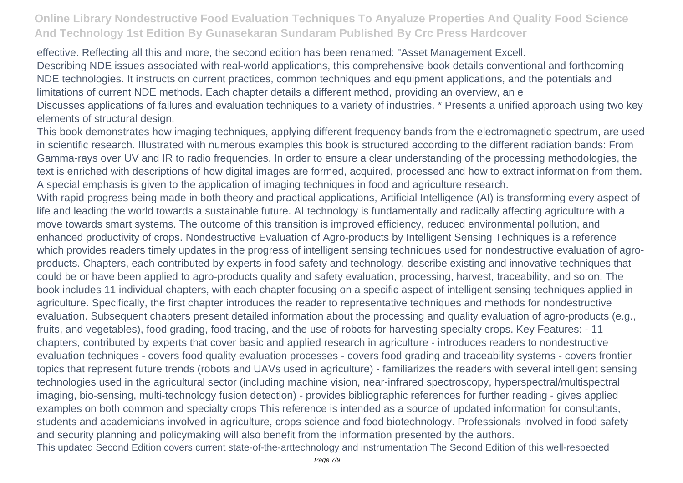effective. Reflecting all this and more, the second edition has been renamed: "Asset Management Excell. Describing NDE issues associated with real-world applications, this comprehensive book details conventional and forthcoming NDE technologies. It instructs on current practices, common techniques and equipment applications, and the potentials and limitations of current NDE methods. Each chapter details a different method, providing an overview, an e Discusses applications of failures and evaluation techniques to a variety of industries. \* Presents a unified approach using two key elements of structural design.

This book demonstrates how imaging techniques, applying different frequency bands from the electromagnetic spectrum, are used in scientific research. Illustrated with numerous examples this book is structured according to the different radiation bands: From Gamma-rays over UV and IR to radio frequencies. In order to ensure a clear understanding of the processing methodologies, the text is enriched with descriptions of how digital images are formed, acquired, processed and how to extract information from them. A special emphasis is given to the application of imaging techniques in food and agriculture research.

With rapid progress being made in both theory and practical applications, Artificial Intelligence (AI) is transforming every aspect of life and leading the world towards a sustainable future. AI technology is fundamentally and radically affecting agriculture with a move towards smart systems. The outcome of this transition is improved efficiency, reduced environmental pollution, and enhanced productivity of crops. Nondestructive Evaluation of Agro-products by Intelligent Sensing Techniques is a reference which provides readers timely updates in the progress of intelligent sensing techniques used for nondestructive evaluation of agroproducts. Chapters, each contributed by experts in food safety and technology, describe existing and innovative techniques that could be or have been applied to agro-products quality and safety evaluation, processing, harvest, traceability, and so on. The book includes 11 individual chapters, with each chapter focusing on a specific aspect of intelligent sensing techniques applied in agriculture. Specifically, the first chapter introduces the reader to representative techniques and methods for nondestructive evaluation. Subsequent chapters present detailed information about the processing and quality evaluation of agro-products (e.g., fruits, and vegetables), food grading, food tracing, and the use of robots for harvesting specialty crops. Key Features: - 11 chapters, contributed by experts that cover basic and applied research in agriculture - introduces readers to nondestructive evaluation techniques - covers food quality evaluation processes - covers food grading and traceability systems - covers frontier topics that represent future trends (robots and UAVs used in agriculture) - familiarizes the readers with several intelligent sensing technologies used in the agricultural sector (including machine vision, near-infrared spectroscopy, hyperspectral/multispectral imaging, bio-sensing, multi-technology fusion detection) - provides bibliographic references for further reading - gives applied examples on both common and specialty crops This reference is intended as a source of updated information for consultants, students and academicians involved in agriculture, crops science and food biotechnology. Professionals involved in food safety and security planning and policymaking will also benefit from the information presented by the authors. This updated Second Edition covers current state-of-the-arttechnology and instrumentation The Second Edition of this well-respected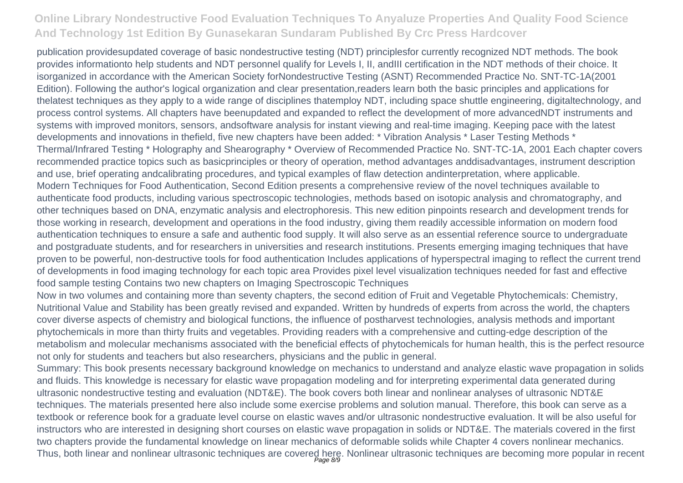publication providesupdated coverage of basic nondestructive testing (NDT) principlesfor currently recognized NDT methods. The book provides informationto help students and NDT personnel qualify for Levels I, II, andIII certification in the NDT methods of their choice. It isorganized in accordance with the American Society forNondestructive Testing (ASNT) Recommended Practice No. SNT-TC-1A(2001 Edition). Following the author's logical organization and clear presentation,readers learn both the basic principles and applications for thelatest techniques as they apply to a wide range of disciplines thatemploy NDT, including space shuttle engineering, digitaltechnology, and process control systems. All chapters have beenupdated and expanded to reflect the development of more advancedNDT instruments and systems with improved monitors, sensors, andsoftware analysis for instant viewing and real-time imaging. Keeping pace with the latest developments and innovations in thefield, five new chapters have been added: \* Vibration Analysis \* Laser Testing Methods \* Thermal/Infrared Testing \* Holography and Shearography \* Overview of Recommended Practice No. SNT-TC-1A, 2001 Each chapter covers recommended practice topics such as basicprinciples or theory of operation, method advantages anddisadvantages, instrument description and use, brief operating andcalibrating procedures, and typical examples of flaw detection andinterpretation, where applicable. Modern Techniques for Food Authentication, Second Edition presents a comprehensive review of the novel techniques available to authenticate food products, including various spectroscopic technologies, methods based on isotopic analysis and chromatography, and other techniques based on DNA, enzymatic analysis and electrophoresis. This new edition pinpoints research and development trends for those working in research, development and operations in the food industry, giving them readily accessible information on modern food authentication techniques to ensure a safe and authentic food supply. It will also serve as an essential reference source to undergraduate and postgraduate students, and for researchers in universities and research institutions. Presents emerging imaging techniques that have proven to be powerful, non-destructive tools for food authentication Includes applications of hyperspectral imaging to reflect the current trend of developments in food imaging technology for each topic area Provides pixel level visualization techniques needed for fast and effective food sample testing Contains two new chapters on Imaging Spectroscopic Techniques

Now in two volumes and containing more than seventy chapters, the second edition of Fruit and Vegetable Phytochemicals: Chemistry, Nutritional Value and Stability has been greatly revised and expanded. Written by hundreds of experts from across the world, the chapters cover diverse aspects of chemistry and biological functions, the influence of postharvest technologies, analysis methods and important phytochemicals in more than thirty fruits and vegetables. Providing readers with a comprehensive and cutting-edge description of the metabolism and molecular mechanisms associated with the beneficial effects of phytochemicals for human health, this is the perfect resource not only for students and teachers but also researchers, physicians and the public in general.

Summary: This book presents necessary background knowledge on mechanics to understand and analyze elastic wave propagation in solids and fluids. This knowledge is necessary for elastic wave propagation modeling and for interpreting experimental data generated during ultrasonic nondestructive testing and evaluation (NDT&E). The book covers both linear and nonlinear analyses of ultrasonic NDT&E techniques. The materials presented here also include some exercise problems and solution manual. Therefore, this book can serve as a textbook or reference book for a graduate level course on elastic waves and/or ultrasonic nondestructive evaluation. It will be also useful for instructors who are interested in designing short courses on elastic wave propagation in solids or NDT&E. The materials covered in the first two chapters provide the fundamental knowledge on linear mechanics of deformable solids while Chapter 4 covers nonlinear mechanics. Thus, both linear and nonlinear ultrasonic techniques are covered here. Nonlinear ultrasonic techniques are becoming more popular in recent